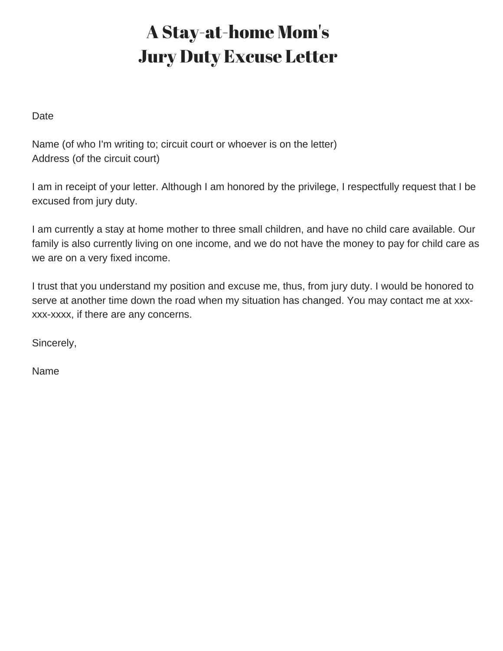## A Stay-at-home Mom's Jury Duty Excuse Letter

Date

Name (of who I'm writing to; circuit court or whoever is on the letter) Address (of the circuit court)

I am in receipt of your letter. Although I am honored by the privilege, I respectfully request that I be excused from jury duty.

I am currently a stay at home mother to three small children, and have no child care available. Our family is also currently living on one income, and we do not have the money to pay for child care as we are on a very fixed income.

I trust that you understand my position and excuse me, thus, from jury duty. I would be honored to serve at another time down the road when my situation has changed. You may contact me at xxxxxx-xxxx, if there are any concerns.

Sincerely,

Name